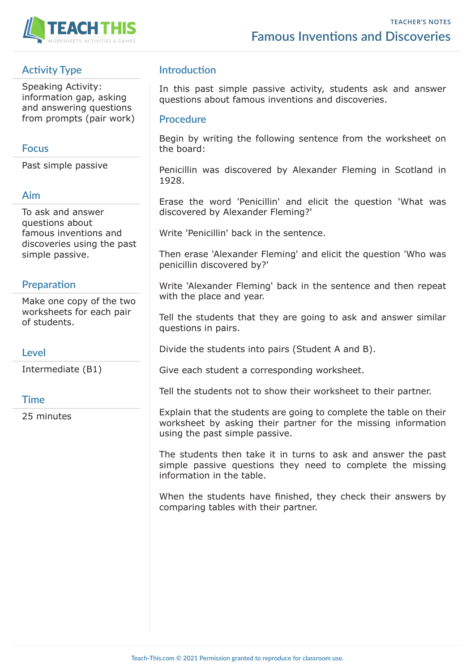

# **Activity Type**

Speaking Activity: information gap, asking and answering questions from prompts (pair work)

### **Focus**

Past simple passive

### **Aim**

To ask and answer questions about famous inventions and discoveries using the past simple passive.

### **Preparation**

Make one copy of the two worksheets for each pair of students.

#### **Level**

Intermediate (B1)

#### **Time**

25 minutes

## **Introduction**

In this past simple passive activity, students ask and answer questions about famous inventions and discoveries.

#### **Procedure**

Begin by writing the following sentence from the worksheet on the board:

Penicillin was discovered by Alexander Fleming in Scotland in 1928.

Erase the word 'Penicillin' and elicit the question 'What was discovered by Alexander Fleming?'

Write 'Penicillin' back in the sentence.

Then erase 'Alexander Fleming' and elicit the question 'Who was penicillin discovered by?'

Write 'Alexander Fleming' back in the sentence and then repeat with the place and year.

Tell the students that they are going to ask and answer similar questions in pairs.

Divide the students into pairs (Student A and B).

Give each student a corresponding worksheet.

Tell the students not to show their worksheet to their partner.

Explain that the students are going to complete the table on their worksheet by asking their partner for the missing information using the past simple passive.

The students then take it in turns to ask and answer the past simple passive questions they need to complete the missing information in the table.

When the students have finished, they check their answers by comparing tables with their partner.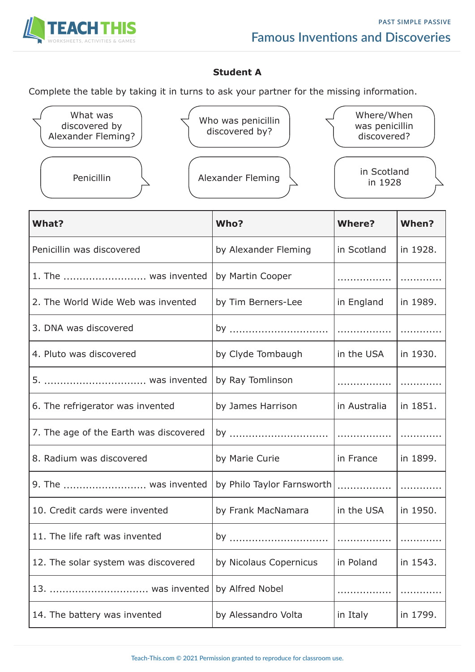

## **Student A**

Complete the table by taking it in turns to ask your partner for the missing information.

| What was<br>discovered by<br>Alexander Fleming? | Who was penicillin<br>discovered by? | Where/When<br>was penicillin<br>discovered? |
|-------------------------------------------------|--------------------------------------|---------------------------------------------|
| Penicillin                                      | Alexander Fleming                    | in Scotland<br>in 1928                      |

| <b>What?</b>                           | Who?                       | <b>Where?</b> | When?    |
|----------------------------------------|----------------------------|---------------|----------|
| Penicillin was discovered              | by Alexander Fleming       | in Scotland   | in 1928. |
| 1. The  was invented                   | by Martin Cooper           | .             |          |
| 2. The World Wide Web was invented     | by Tim Berners-Lee         | in England    | in 1989. |
| 3. DNA was discovered                  | by                         | .             |          |
| 4. Pluto was discovered                | by Clyde Tombaugh          | in the USA    | in 1930. |
| 5.  was invented                       | by Ray Tomlinson           |               |          |
| 6. The refrigerator was invented       | by James Harrison          | in Australia  | in 1851. |
| 7. The age of the Earth was discovered | by                         |               |          |
| 8. Radium was discovered               | by Marie Curie             | in France     | in 1899. |
| 9. The  was invented                   | by Philo Taylor Farnsworth |               |          |
| 10. Credit cards were invented         | by Frank MacNamara         | in the USA    | in 1950. |
| 11. The life raft was invented         | by                         |               |          |
| 12. The solar system was discovered    | by Nicolaus Copernicus     | in Poland     | in 1543. |
| was invented<br>13.                    | by Alfred Nobel            |               |          |
| 14. The battery was invented           | by Alessandro Volta        | in Italy      | in 1799. |